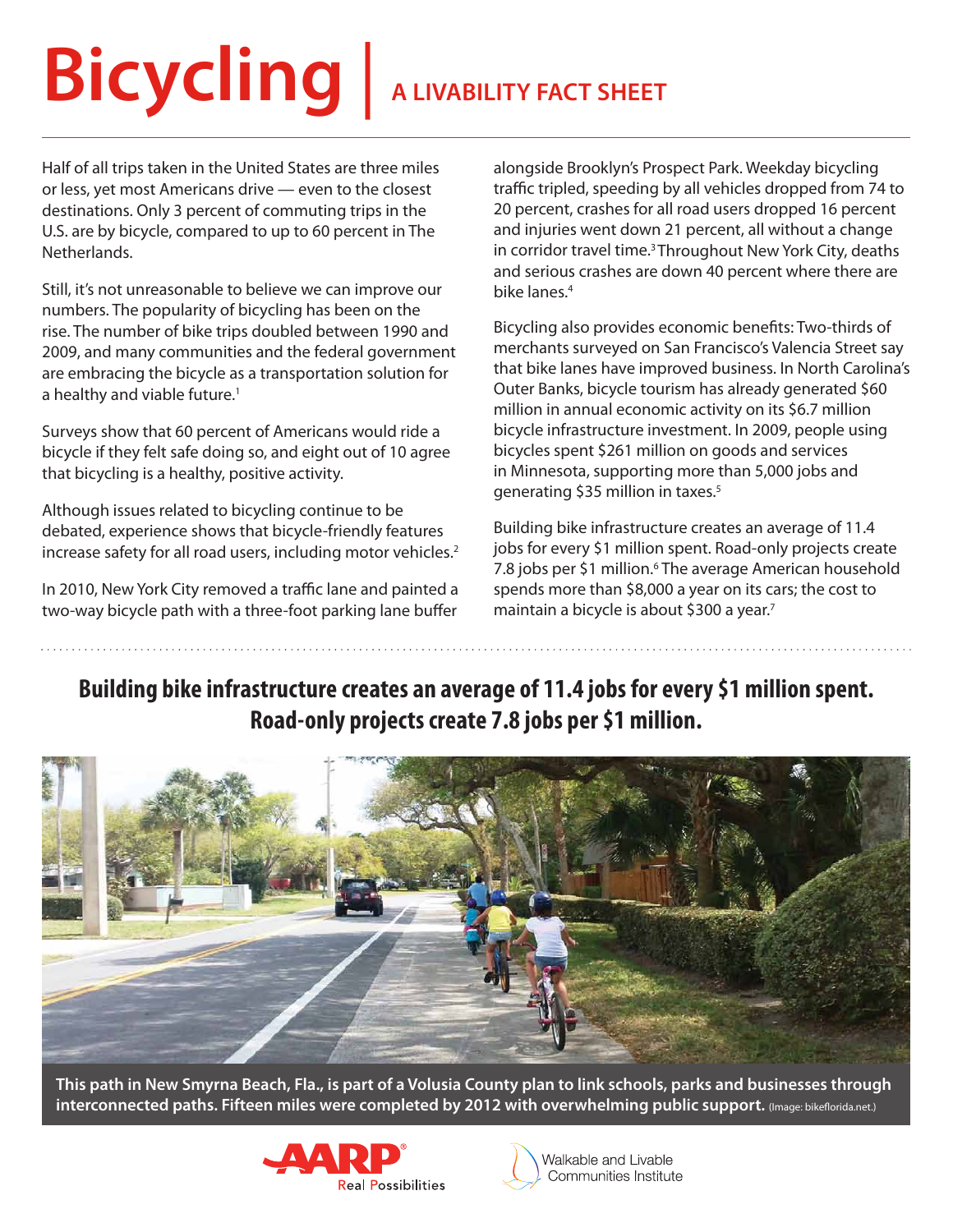# **Bicycling** | **A LIVABILITY FACT SHEET**

Half of all trips taken in the United States are three miles or less, yet most Americans drive — even to the closest destinations. Only 3 percent of commuting trips in the U.S. are by bicycle, compared to up to 60 percent in The Netherlands.

Still, it's not unreasonable to believe we can improve our numbers. The popularity of bicycling has been on the rise. The number of bike trips doubled between 1990 and 2009, and many communities and the federal government are embracing the bicycle as a transportation solution for a healthy and viable future.<sup>1</sup>

Surveys show that 60 percent of Americans would ride a bicycle if they felt safe doing so, and eight out of 10 agree that bicycling is a healthy, positive activity.

Although issues related to bicycling continue to be debated, experience shows that bicycle-friendly features increase safety for all road users, including motor vehicles.<sup>2</sup>

In 2010, New York City removed a traffic lane and painted a two-way bicycle path with a three-foot parking lane buffer

alongside Brooklyn's Prospect Park. Weekday bicycling traffic tripled, speeding by all vehicles dropped from 74 to 20 percent, crashes for all road users dropped 16 percent and injuries went down 21 percent, all without a change in corridor travel time.<sup>3</sup> Throughout New York City, deaths and serious crashes are down 40 percent where there are bike lanes.4

Bicycling also provides economic benefits: Two-thirds of merchants surveyed on San Francisco's Valencia Street say that bike lanes have improved business. In North Carolina's Outer Banks, bicycle tourism has already generated \$60 million in annual economic activity on its \$6.7 million bicycle infrastructure investment. In 2009, people using bicycles spent \$261 million on goods and services in Minnesota, supporting more than 5,000 jobs and generating \$35 million in taxes.5

Building bike infrastructure creates an average of 11.4 jobs for every \$1 million spent. Road-only projects create 7.8 jobs per \$1 million.<sup>6</sup> The average American household spends more than \$8,000 a year on its cars; the cost to maintain a bicycle is about \$300 a year.<sup>7</sup>

# **Building bike infrastructure creates an average of 11.4 jobs for every \$1 million spent. Road-only projects create 7.8 jobs per \$1 million.**



**This path in New Smyrna Beach, Fla., is part of a Volusia County plan to link schools, parks and businesses through interconnected paths. Fifteen miles were completed by 2012 with overwhelming public support.** (Image: bikeflorida.net.)



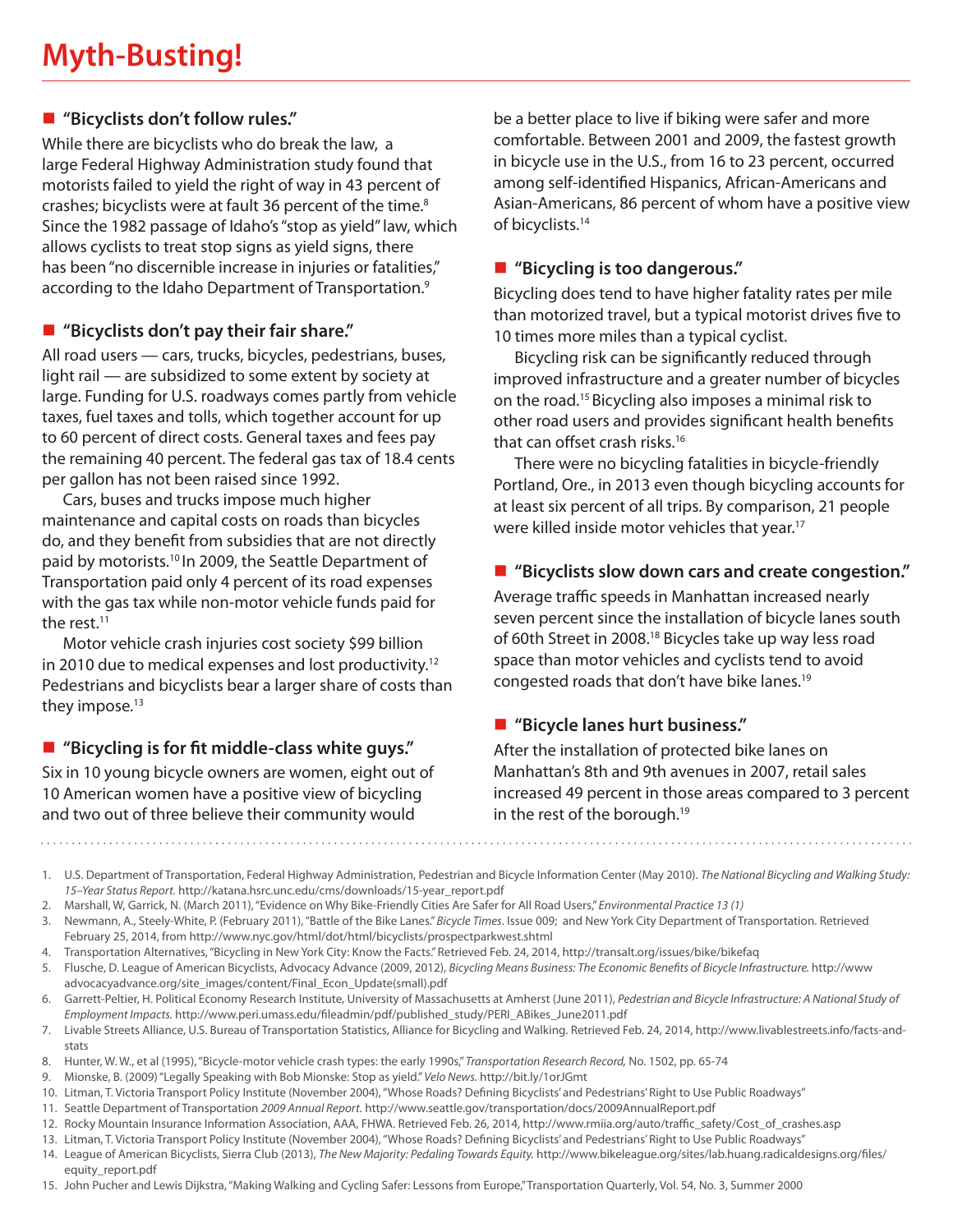# **"Bicyclists don't follow rules."**

While there are bicyclists who do break the law, a large Federal Highway Administration study found that motorists failed to yield the right of way in 43 percent of crashes; bicyclists were at fault 36 percent of the time.<sup>8</sup> Since the 1982 passage of Idaho's "stop as yield" law, which allows cyclists to treat stop signs as yield signs, there has been "no discernible increase in injuries or fatalities," according to the Idaho Department of Transportation.<sup>9</sup>

## **"Bicyclists don't pay their fair share."**

All road users — cars, trucks, bicycles, pedestrians, buses, light rail — are subsidized to some extent by society at large. Funding for U.S. roadways comes partly from vehicle taxes, fuel taxes and tolls, which together account for up to 60 percent of direct costs. General taxes and fees pay the remaining 40 percent. The federal gas tax of 18.4 cents per gallon has not been raised since 1992.

Cars, buses and trucks impose much higher maintenance and capital costs on roads than bicycles do, and they benefit from subsidies that are not directly paid by motorists.10 In 2009, the Seattle Department of Transportation paid only 4 percent of its road expenses with the gas tax while non-motor vehicle funds paid for the rest.<sup>11</sup>

Motor vehicle crash injuries cost society \$99 billion in 2010 due to medical expenses and lost productivity.12 Pedestrians and bicyclists bear a larger share of costs than they impose.<sup>13</sup>

## **"Bicycling is for fit middle-class white guys."**

Six in 10 young bicycle owners are women, eight out of 10 American women have a positive view of bicycling and two out of three believe their community would

be a better place to live if biking were safer and more comfortable. Between 2001 and 2009, the fastest growth in bicycle use in the U.S., from 16 to 23 percent, occurred among self-identified Hispanics, African-Americans and Asian-Americans, 86 percent of whom have a positive view of bicyclists.14

# **"Bicycling is too dangerous."**

Bicycling does tend to have higher fatality rates per mile than motorized travel, but a typical motorist drives five to 10 times more miles than a typical cyclist.

Bicycling risk can be significantly reduced through improved infrastructure and a greater number of bicycles on the road.15 Bicycling also imposes a minimal risk to other road users and provides significant health benefits that can offset crash risks.<sup>16</sup>

There were no bicycling fatalities in bicycle-friendly Portland, Ore., in 2013 even though bicycling accounts for at least six percent of all trips. By comparison, 21 people were killed inside motor vehicles that year.<sup>17</sup>

## **"Bicyclists slow down cars and create congestion."**

Average traffic speeds in Manhattan increased nearly seven percent since the installation of bicycle lanes south of 60th Street in 2008.18 Bicycles take up way less road space than motor vehicles and cyclists tend to avoid congested roads that don't have bike lanes.19

# **"Bicycle lanes hurt business."**

After the installation of protected bike lanes on Manhattan's 8th and 9th avenues in 2007, retail sales increased 49 percent in those areas compared to 3 percent in the rest of the borough.<sup>19</sup>

1. U.S. Department of Transportation, Federal Highway Administration, Pedestrian and Bicycle Information Center (May 2010). *The National Bicycling and Walking Study: 15–Year Status Report.* http://katana.hsrc.unc.edu/cms/downloads/15-year\_report.pdf

- 2. Marshall, W, Garrick, N. (March 2011), "Evidence on Why Bike-Friendly Cities Are Safer for All Road Users," *Environmental Practice 13 (1)*
- 3. Newmann, A., Steely-White, P. (February 2011), "Battle of the Bike Lanes." *Bicycle Times*. Issue 009; and New York City Department of Transportation. Retrieved February 25, 2014, from http://www.nyc.gov/html/dot/html/bicyclists/prospectparkwest.shtml
- 4. Transportation Alternatives, "Bicycling in New York City: Know the Facts." Retrieved Feb. 24, 2014, http://transalt.org/issues/bike/bikefaq
- 5. Flusche, D. League of American Bicyclists, Advocacy Advance (2009, 2012), *Bicycling Means Business: The Economic Benefits of Bicycle Infrastructure.* http://www advocacyadvance.org/site\_images/content/Final\_Econ\_Update(small).pdf
- 6. Garrett-Peltier, H. Political Economy Research Institute, University of Massachusetts at Amherst (June 2011), *Pedestrian and Bicycle Infrastructure: A National Study of Employment Impacts.* http://www.peri.umass.edu/fileadmin/pdf/published\_study/PERI\_ABikes\_June2011.pdf
- 7. Livable Streets Alliance, U.S. Bureau of Transportation Statistics, Alliance for Bicycling and Walking. Retrieved Feb. 24, 2014, http://www.livablestreets.info/facts-andstats
- 8. Hunter, W. W., et al (1995), "Bicycle-motor vehicle crash types: the early 1990s," *Transportation Research Record,* No. 1502, pp. 65-74
- 9. Mionske, B. (2009) "Legally Speaking with Bob Mionske: Stop as yield." *Velo News.* http://bit.ly/1orJGmt
- 10. Litman, T. Victoria Transport Policy Institute (November 2004), "Whose Roads? Defining Bicyclists' and Pedestrians' Right to Use Public Roadways"
- 11. Seattle Department of Transportation *2009 Annual Report.* http://www.seattle.gov/transportation/docs/2009AnnualReport.pdf
- 12. Rocky Mountain Insurance Information Association, AAA, FHWA. Retrieved Feb. 26, 2014, http://www.rmiia.org/auto/traffic\_safety/Cost\_of\_crashes.asp 13. Litman, T. Victoria Transport Policy Institute (November 2004), "Whose Roads? Defining Bicyclists' and Pedestrians' Right to Use Public Roadways"
- 14. League of American Bicyclists, Sierra Club (2013), *The New Majority: Pedaling Towards Equity.* http://www.bikeleague.org/sites/lab.huang.radicaldesigns.org/files/
- equity\_report.pdf
- 15. John Pucher and Lewis Dijkstra, "Making Walking and Cycling Safer: Lessons from Europe," Transportation Quarterly, Vol. 54, No. 3, Summer 2000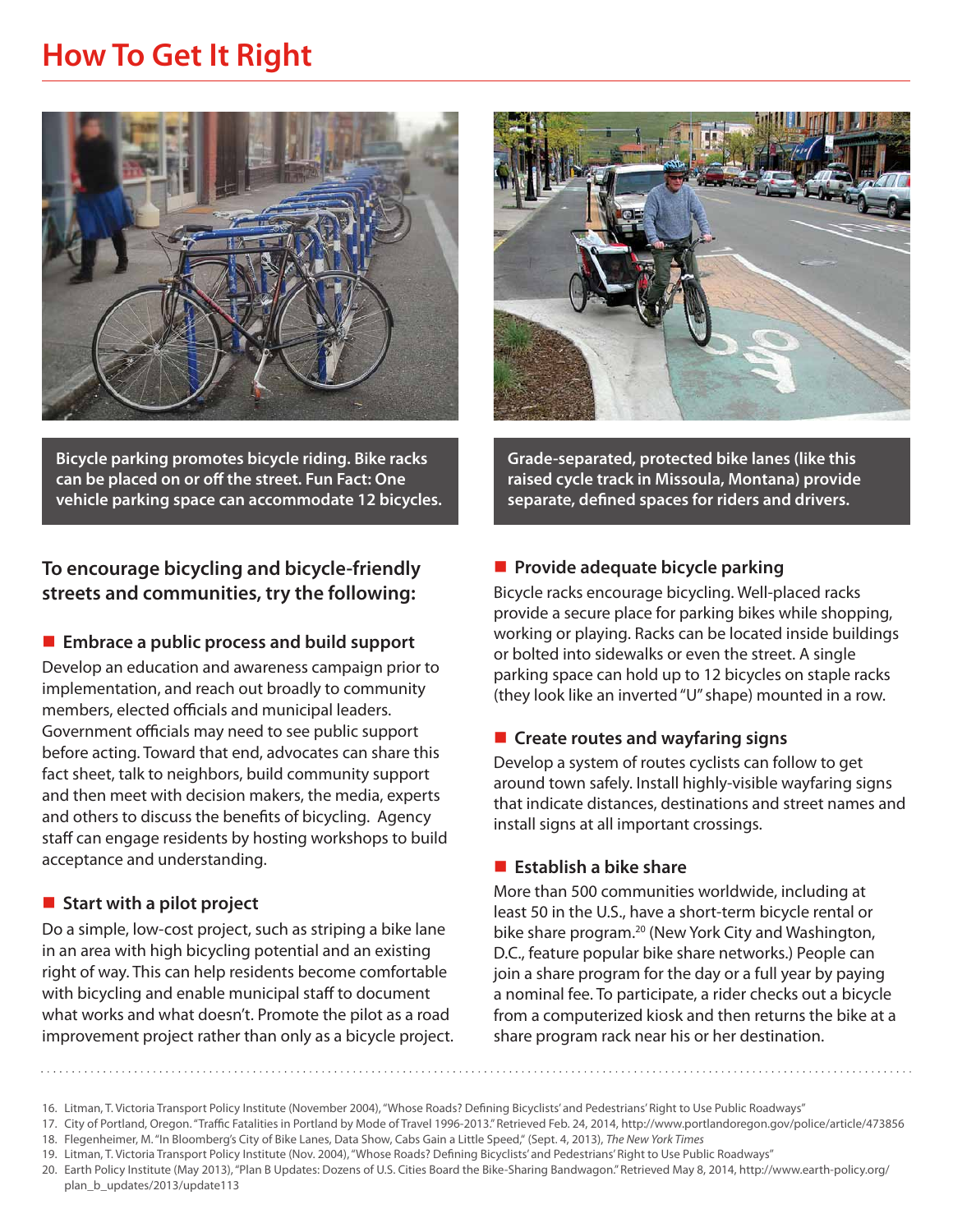# **How To Get It Right**



**Bicycle parking promotes bicycle riding. Bike racks can be placed on or off the street. Fun Fact: One vehicle parking space can accommodate 12 bicycles.**

# **To encourage bicycling and bicycle-friendly streets and communities, try the following:**

#### **Embrace a public process and build support**

Develop an education and awareness campaign prior to implementation, and reach out broadly to community members, elected officials and municipal leaders. Government officials may need to see public support before acting. Toward that end, advocates can share this fact sheet, talk to neighbors, build community support and then meet with decision makers, the media, experts and others to discuss the benefits of bicycling. Agency staff can engage residents by hosting workshops to build acceptance and understanding.

#### ■ Start with a pilot project

Do a simple, low-cost project, such as striping a bike lane in an area with high bicycling potential and an existing right of way. This can help residents become comfortable with bicycling and enable municipal staff to document what works and what doesn't. Promote the pilot as a road improvement project rather than only as a bicycle project.



**Grade-separated, protected bike lanes (like this raised cycle track in Missoula, Montana) provide separate, defined spaces for riders and drivers.**

#### **Provide adequate bicycle parking**

Bicycle racks encourage bicycling. Well-placed racks provide a secure place for parking bikes while shopping, working or playing. Racks can be located inside buildings or bolted into sidewalks or even the street. A single parking space can hold up to 12 bicycles on staple racks (they look like an inverted "U" shape) mounted in a row.

#### **Create routes and wayfaring signs**

Develop a system of routes cyclists can follow to get around town safely. Install highly-visible wayfaring signs that indicate distances, destinations and street names and install signs at all important crossings.

#### **Establish a bike share**

More than 500 communities worldwide, including at least 50 in the U.S., have a short-term bicycle rental or bike share program.<sup>20</sup> (New York City and Washington, D.C., feature popular bike share networks.) People can join a share program for the day or a full year by paying a nominal fee. To participate, a rider checks out a bicycle from a computerized kiosk and then returns the bike at a share program rack near his or her destination.

<sup>16.</sup> Litman, T. Victoria Transport Policy Institute (November 2004), "Whose Roads? Defining Bicyclists' and Pedestrians' Right to Use Public Roadways"

<sup>17.</sup> City of Portland, Oregon. "Traffic Fatalities in Portland by Mode of Travel 1996-2013." Retrieved Feb. 24, 2014, http://www.portlandoregon.gov/police/article/473856

<sup>18.</sup> Flegenheimer, M. "In Bloomberg's City of Bike Lanes, Data Show, Cabs Gain a Little Speed," (Sept. 4, 2013), *The New York Times*

<sup>19.</sup> Litman, T. Victoria Transport Policy Institute (Nov. 2004), "Whose Roads? Defining Bicyclists' and Pedestrians' Right to Use Public Roadways"

<sup>20.</sup> Earth Policy Institute (May 2013), "Plan B Updates: Dozens of U.S. Cities Board the Bike-Sharing Bandwagon." Retrieved May 8, 2014, http://www.earth-policy.org/ plan\_b\_updates/2013/update113